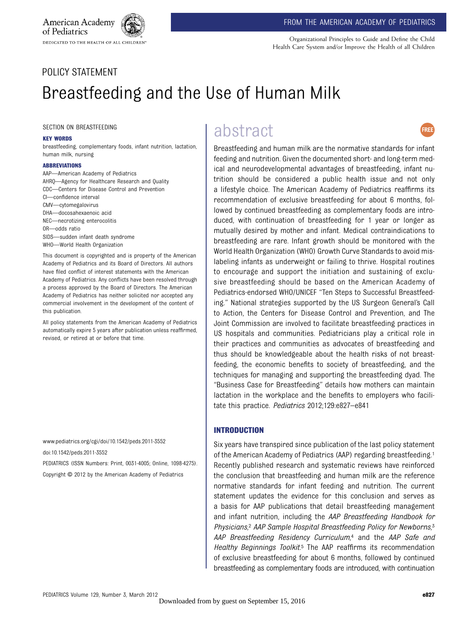FRFF

Organizational Principles to Guide and Define the Child Health Care System and/or Improve the Health of all Children

# POLICY STATEMENT

American Academy

DEDICATED TO THE HEALTH OF ALL CHILDREN"

of Pediatrics

# Breastfeeding and the Use of Human Milk

#### SECTION ON BREASTFEEDING

#### KEY WORDS

breastfeeding, complementary foods, infant nutrition, lactation, human milk, nursing

#### ABBREVIATIONS

AAP—American Academy of Pediatrics AHRQ—Agency for Healthcare Research and Quality CDC—Centers for Disease Control and Prevention CI—confidence interval CMV—cytomegalovirus DHA—docosahexaenoic acid NEC—necrotizing enterocolitis OR—odds ratio SIDS—sudden infant death syndrome WHO—World Health Organization This document is copyrighted and is property of the American

Academy of Pediatrics and its Board of Directors. All authors have filed conflict of interest statements with the American Academy of Pediatrics. Any conflicts have been resolved through a process approved by the Board of Directors. The American Academy of Pediatrics has neither solicited nor accepted any commercial involvement in the development of the content of this publication.

All policy statements from the American Academy of Pediatrics automatically expire 5 years after publication unless reaffirmed, revised, or retired at or before that time.

www.pediatrics.org/cgi/doi/10.1542/peds.2011-3552

doi:10.1542/peds.2011-3552

PEDIATRICS (ISSN Numbers: Print, 0031-4005; Online, 1098-4275). Copyright © 2012 by the American Academy of Pediatrics

# abstract

Breastfeeding and human milk are the normative standards for infant feeding and nutrition. Given the documented short- and long-term medical and neurodevelopmental advantages of breastfeeding, infant nutrition should be considered a public health issue and not only a lifestyle choice. The American Academy of Pediatrics reaffirms its recommendation of exclusive breastfeeding for about 6 months, followed by continued breastfeeding as complementary foods are introduced, with continuation of breastfeeding for 1 year or longer as mutually desired by mother and infant. Medical contraindications to breastfeeding are rare. Infant growth should be monitored with the World Health Organization (WHO) Growth Curve Standards to avoid mislabeling infants as underweight or failing to thrive. Hospital routines to encourage and support the initiation and sustaining of exclusive breastfeeding should be based on the American Academy of Pediatrics-endorsed WHO/UNICEF "Ten Steps to Successful Breastfeeding." National strategies supported by the US Surgeon General's Call to Action, the Centers for Disease Control and Prevention, and The Joint Commission are involved to facilitate breastfeeding practices in US hospitals and communities. Pediatricians play a critical role in their practices and communities as advocates of breastfeeding and thus should be knowledgeable about the health risks of not breastfeeding, the economic benefits to society of breastfeeding, and the techniques for managing and supporting the breastfeeding dyad. The "Business Case for Breastfeeding" details how mothers can maintain lactation in the workplace and the benefits to employers who facilitate this practice. Pediatrics 2012;129:e827–e841

# **INTRODUCTION**

Six years have transpired since publication of the last policy statement of the American Academy of Pediatrics (AAP) regarding breastfeeding.1 Recently published research and systematic reviews have reinforced the conclusion that breastfeeding and human milk are the reference normative standards for infant feeding and nutrition. The current statement updates the evidence for this conclusion and serves as a basis for AAP publications that detail breastfeeding management and infant nutrition, including the AAP Breastfeeding Handbook for Physicians,<sup>2</sup> AAP Sample Hospital Breastfeeding Policy for Newborns,<sup>3</sup> AAP Breastfeeding Residency Curriculum,<sup>4</sup> and the AAP Safe and Healthy Beginnings Toolkit.<sup>5</sup> The AAP reaffirms its recommendation of exclusive breastfeeding for about 6 months, followed by continued breastfeeding as complementary foods are introduced, with continuation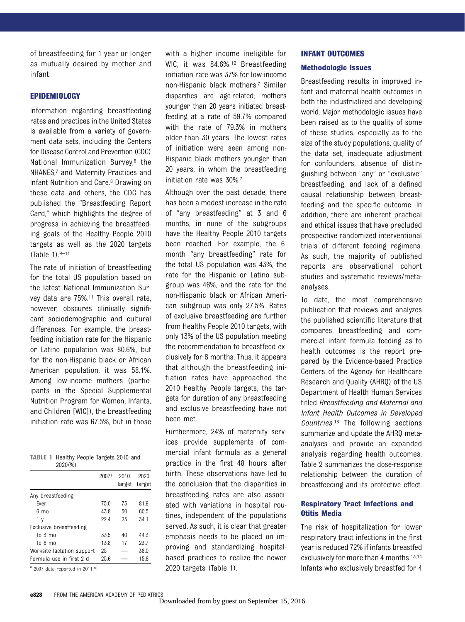of breastfeeding for 1 year or longer as mutually desired by mother and infant.

# EPIDEMIOLOGY

Information regarding breastfeeding rates and practices in the United States is available from a variety of government data sets, including the Centers for Disease Control and Prevention (CDC) National Immunization Survey,<sup>6</sup> the NHANES,<sup>7</sup> and Maternity Practices and Infant Nutrition and Care.8 Drawing on these data and others, the CDC has published the "Breastfeeding Report Card," which highlights the degree of progress in achieving the breastfeeding goals of the Healthy People 2010 targets as well as the 2020 targets (Table 1).9–<sup>11</sup>

The rate of initiation of breastfeeding for the total US population based on the latest National Immunization Survey data are 75%.11 This overall rate, however, obscures clinically significant sociodemographic and cultural differences. For example, the breastfeeding initiation rate for the Hispanic or Latino population was 80.6%, but for the non-Hispanic black or African American population, it was 58.1%. Among low-income mothers (participants in the Special Supplemental Nutrition Program for Women, Infants, and Children [WIC]), the breastfeeding initiation rate was 67.5%, but in those

#### TABLE 1 Healthy People Targets 2010 and 2020(%)

|                            | 2007a | 2010          | 2020 |
|----------------------------|-------|---------------|------|
|                            |       | Target Target |      |
| Any breastfeeding          |       |               |      |
| Ever                       | 75.0  | 75            | 81.9 |
| 6 mo                       | 43.8  | 50            | 60.5 |
| 1 v                        | 224   | 25            | 34.1 |
| Exclusive breastfeeding    |       |               |      |
| To 3 mo                    | 33.5  | 40            | 443  |
| To 6 mo                    | 13.8  | 17            | 23.7 |
| Worksite lactation support | 25    |               | 38.0 |
| Formula use in first 2 d   | 25.6  |               | 15.6 |
|                            |       |               |      |

<sup>a</sup> 2007 data reported in 2011.10

with a higher income ineligible for WIC, it was 84.6%.<sup>12</sup> Breastfeeding initiation rate was 37% for low-income non-Hispanic black mothers.7 Similar disparities are age-related; mothers younger than 20 years initiated breastfeeding at a rate of 59.7% compared with the rate of 79.3% in mothers older than 30 years. The lowest rates of initiation were seen among non-Hispanic black mothers younger than 20 years, in whom the breastfeeding initiation rate was 30%.7

Although over the past decade, there has been a modest increase in the rate of "any breastfeeding" at 3 and 6 months, in none of the subgroups have the Healthy People 2010 targets been reached. For example, the 6 month "any breastfeeding" rate for the total US population was 43%, the rate for the Hispanic or Latino subgroup was 46%, and the rate for the non-Hispanic black or African American subgroup was only 27.5%. Rates of exclusive breastfeeding are further from Healthy People 2010 targets, with only 13% of the US population meeting the recommendation to breastfeed exclusively for 6 months. Thus, it appears that although the breastfeeding initiation rates have approached the 2010 Healthy People targets, the targets for duration of any breastfeeding and exclusive breastfeeding have not been met.

Furthermore, 24% of maternity services provide supplements of commercial infant formula as a general practice in the first 48 hours after birth. These observations have led to the conclusion that the disparities in breastfeeding rates are also associated with variations in hospital routines, independent of the populations served. As such, it is clear that greater emphasis needs to be placed on improving and standardizing hospitalbased practices to realize the newer 2020 targets (Table 1).

#### INFANT OUTCOMES

## Methodologic Issues

Breastfeeding results in improved infant and maternal health outcomes in both the industrialized and developing world. Major methodologic issues have been raised as to the quality of some of these studies, especially as to the size of the study populations, quality of the data set, inadequate adjustment for confounders, absence of distinguishing between "any" or "exclusive" breastfeeding, and lack of a defined causal relationship between breastfeeding and the specific outcome. In addition, there are inherent practical and ethical issues that have precluded prospective randomized interventional trials of different feeding regimens. As such, the majority of published reports are observational cohort studies and systematic reviews/metaanalyses.

To date, the most comprehensive publication that reviews and analyzes the published scientific literature that compares breastfeeding and commercial infant formula feeding as to health outcomes is the report prepared by the Evidence-based Practice Centers of the Agency for Healthcare Research and Quality (AHRQ) of the US Department of Health Human Services titled Breastfeeding and Maternal and Infant Health Outcomes in Developed Countries. <sup>13</sup> The following sections summarize and update the AHRQ metaanalyses and provide an expanded analysis regarding health outcomes. Table 2 summarizes the dose-response relationship between the duration of breastfeeding and its protective effect.

# Respiratory Tract Infections and **Otitis Media**

The risk of hospitalization for lower respiratory tract infections in the first year is reduced 72% if infants breastfed exclusively for more than 4 months.13,14 Infants who exclusively breastfed for 4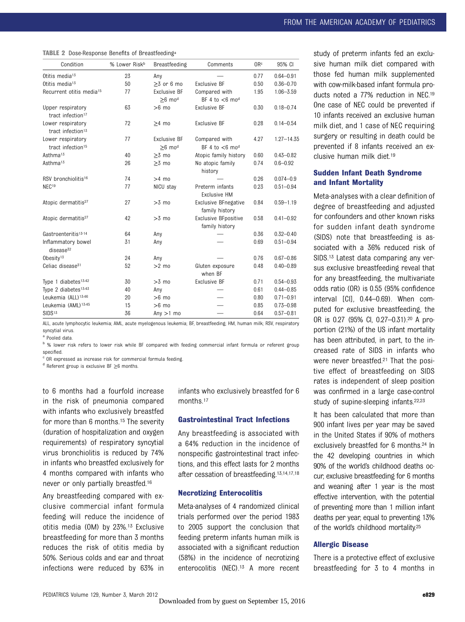| Condition                                          | % Lower Risk <sup>b</sup> | Breastfeeding                       | Comments                                       | 0 <sub>R</sub> c | 95% CI         |
|----------------------------------------------------|---------------------------|-------------------------------------|------------------------------------------------|------------------|----------------|
| Otitis media <sup>13</sup>                         | 23                        | Any                                 |                                                | 0.77             | $0.64 - 0.91$  |
| Otitis media <sup>13</sup>                         | 50                        | $\geq$ 3 or 6 mo                    | <b>Exclusive BF</b>                            | 0.50             | $0.36 - 0.70$  |
| Recurrent otitis media <sup>15</sup>               | 77                        | <b>Exclusive BF</b>                 | Compared with                                  | 1.95             | $1.06 - 3.59$  |
|                                                    |                           | $\geq 6$ mo <sup>d</sup>            | BF 4 to <6 mod                                 |                  |                |
| Upper respiratory<br>tract infection <sup>17</sup> | 63                        | $>6$ mo                             | <b>Exclusive BF</b>                            | 0.30             | $0.18 - 0.74$  |
| Lower respiratory<br>tract infection <sup>13</sup> | 72                        | $>4$ mo                             | <b>Exclusive BF</b>                            | 0.28             | $0.14 - 0.54$  |
| Lower respiratory<br>tract infection <sup>15</sup> | 77                        | <b>Exclusive BF</b><br>$\geq 6$ mod | Compared with<br>BF 4 to $<$ 6 mo <sup>d</sup> | 4.27             | $1.27 - 14.35$ |
| Asthma <sup>13</sup>                               | 40                        | $>3$ mo                             | Atopic family history                          | 0.60             | $0.43 - 0.82$  |
| Asthma <sup>13</sup>                               | 26                        | $\geq$ 3 mo                         | No atopic family<br>history                    | 0.74             | $0.6 - 0.92$   |
| RSV bronchiolitis <sup>16</sup>                    | 74                        | $>4$ mo                             |                                                | 0.26             | $0.074 - 0.9$  |
| NEC <sub>19</sub>                                  | 77                        | NICU stay                           | Preterm infants<br><b>Exclusive HM</b>         | 0.23             | $0.51 - 0.94$  |
| Atopic dermatitis <sup>27</sup>                    | 27                        | $>3$ mo                             | <b>Exclusive BFnegative</b><br>family history  | 0.84             | $0.59 - 1.19$  |
| Atopic dermatitis <sup>27</sup>                    | 42                        | $>3$ mo                             | <b>Exclusive BFpositive</b><br>family history  | 0.58             | $0.41 - 0.92$  |
| Gastroenteritis <sup>13-14</sup>                   | 64                        | Any                                 |                                                | 0.36             | $0.32 - 0.40$  |
| Inflammatory bowel<br>disease <sup>32</sup>        | 31                        | Any                                 |                                                | 0.69             | $0.51 - 0.94$  |
| Obesity <sup>13</sup>                              | 24                        | Any                                 |                                                | 0.76             | $0.67 - 0.86$  |
| Celiac disease <sup>31</sup>                       | 52                        | $>2$ mo                             | Gluten exposure<br>when BF                     | 0.48             | $0.40 - 0.89$  |
| Type 1 diabetes <sup>13,42</sup>                   | 30                        | $>3$ mo                             | <b>Exclusive BF</b>                            | 0.71             | $0.54 - 0.93$  |
| Type 2 diabetes <sup>13-43</sup>                   | 40                        | Any                                 |                                                | 0.61             | $0.44 - 0.85$  |
| Leukemia (ALL) <sup>13-46</sup>                    | 20                        | $>6$ mo                             |                                                | 0.80             | $0.71 - 0.91$  |
| Leukemia (AML) <sup>13,45</sup>                    | 15                        | $>6$ mo                             |                                                | 0.85             | $0.73 - 0.98$  |
| SIDS <sup>13</sup>                                 | 36                        | Any $>1$ mo                         |                                                | 0.64             | $0.57 - 0.81$  |
|                                                    |                           |                                     |                                                |                  |                |

TARLE 2 Dose-Response Benefits of Breastfeedings

ALL, acute lymphocytic leukemia; AML, acute myelogenous leukemia; BF, breastfeeding; HM, human milk; RSV, respiratory syncytial virus.

a Pooled data.

<sup>b</sup> % lower risk refers to lower risk while BF compared with feeding commercial infant formula or referent group specified.

<sup>c</sup> OR expressed as increase risk for commercial formula feeding.

<sup>d</sup> Referent group is exclusive BF ≥6 months.

to 6 months had a fourfold increase in the risk of pneumonia compared with infants who exclusively breastfed for more than 6 months.<sup>15</sup> The severity (duration of hospitalization and oxygen requirements) of respiratory syncytial virus bronchiolitis is reduced by 74% in infants who breastfed exclusively for 4 months compared with infants who never or only partially breastfed.16

Any breastfeeding compared with exclusive commercial infant formula feeding will reduce the incidence of otitis media (OM) by 23%.13 Exclusive breastfeeding for more than 3 months reduces the risk of otitis media by 50%. Serious colds and ear and throat infections were reduced by 63% in

infants who exclusively breastfed for 6 months<sup>17</sup>

#### Gastrointestinal Tract Infections

Any breastfeeding is associated with a 64% reduction in the incidence of nonspecific gastrointestinal tract infections, and this effect lasts for 2 months after cessation of breastfeeding.13,14,17,18

#### Necrotizing Enterocolitis

Meta-analyses of 4 randomized clinical trials performed over the period 1983 to 2005 support the conclusion that feeding preterm infants human milk is associated with a significant reduction (58%) in the incidence of necrotizing enterocolitis (NEC).<sup>13</sup> A more recent study of preterm infants fed an exclusive human milk diet compared with those fed human milk supplemented with cow-milk-based infant formula products noted a 77% reduction in NEC.19 One case of NEC could be prevented if 10 infants received an exclusive human milk diet, and 1 case of NEC requiring surgery or resulting in death could be prevented if 8 infants received an exclusive human milk diet.19

# Sudden Infant Death Syndrome and Infant Mortality

Meta-analyses with a clear definition of degree of breastfeeding and adjusted for confounders and other known risks for sudden infant death syndrome (SIDS) note that breastfeeding is associated with a 36% reduced risk of SIDS.13 Latest data comparing any versus exclusive breastfeeding reveal that for any breastfeeding, the multivariate odds ratio (OR) is 0.55 (95% confidence interval [CI], 0.44–0.69). When computed for exclusive breastfeeding, the OR is 0.27 (95% CI, 0.27–0.31).20 A proportion (21%) of the US infant mortality has been attributed, in part, to the increased rate of SIDS in infants who were never breastfed.21 That the positive effect of breastfeeding on SIDS rates is independent of sleep position was confirmed in a large case-control study of supine-sleeping infants.22,23

It has been calculated that more than 900 infant lives per year may be saved in the United States if 90% of mothers exclusively breastfed for 6 months.<sup>24</sup> In the 42 developing countries in which 90% of the world's childhood deaths occur, exclusive breastfeeding for 6 months and weaning after 1 year is the most effective intervention, with the potential of preventing more than 1 million infant deaths per year, equal to preventing 13% of the world's childhood mortality.25

#### Allergic Disease

There is a protective effect of exclusive breastfeeding for 3 to 4 months in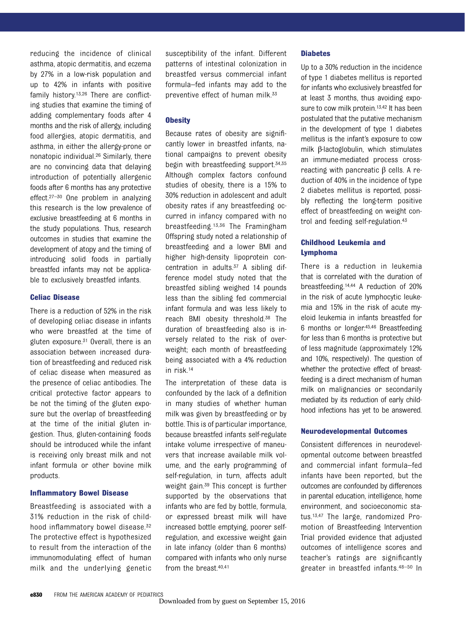reducing the incidence of clinical asthma, atopic dermatitis, and eczema by 27% in a low-risk population and up to 42% in infants with positive family history.13,26 There are conflicting studies that examine the timing of adding complementary foods after 4 months and the risk of allergy, including food allergies, atopic dermatitis, and asthma, in either the allergy-prone or nonatopic individual.26 Similarly, there are no convincing data that delaying introduction of potentially allergenic foods after 6 months has any protective effect.27–<sup>30</sup> One problem in analyzing this research is the low prevalence of exclusive breastfeeding at 6 months in the study populations. Thus, research outcomes in studies that examine the development of atopy and the timing of introducing solid foods in partially breastfed infants may not be applicable to exclusively breastfed infants.

# Celiac Disease

There is a reduction of 52% in the risk of developing celiac disease in infants who were breastfed at the time of gluten exposure. $31$  Overall, there is an association between increased duration of breastfeeding and reduced risk of celiac disease when measured as the presence of celiac antibodies. The critical protective factor appears to be not the timing of the gluten exposure but the overlap of breastfeeding at the time of the initial gluten ingestion. Thus, gluten-containing foods should be introduced while the infant is receiving only breast milk and not infant formula or other bovine milk products.

# Inflammatory Bowel Disease

Breastfeeding is associated with a 31% reduction in the risk of childhood inflammatory bowel disease.32 The protective effect is hypothesized to result from the interaction of the immunomodulating effect of human milk and the underlying genetic susceptibility of the infant. Different patterns of intestinal colonization in breastfed versus commercial infant formula–fed infants may add to the preventive effect of human milk.<sup>33</sup>

# **Obesity**

Because rates of obesity are significantly lower in breastfed infants, national campaigns to prevent obesity begin with breastfeeding support.34,35 Although complex factors confound studies of obesity, there is a 15% to 30% reduction in adolescent and adult obesity rates if any breastfeeding occurred in infancy compared with no breastfeeding.13,36 The Framingham Offspring study noted a relationship of breastfeeding and a lower BMI and higher high-density lipoprotein concentration in adults.37 A sibling difference model study noted that the breastfed sibling weighed 14 pounds less than the sibling fed commercial infant formula and was less likely to reach BMI obesity threshold.38 The duration of breastfeeding also is inversely related to the risk of overweight; each month of breastfeeding being associated with a 4% reduction in risk.14

The interpretation of these data is confounded by the lack of a definition in many studies of whether human milk was given by breastfeeding or by bottle. This is of particular importance, because breastfed infants self-regulate intake volume irrespective of maneuvers that increase available milk volume, and the early programming of self-regulation, in turn, affects adult weight gain.39 This concept is further supported by the observations that infants who are fed by bottle, formula, or expressed breast milk will have increased bottle emptying, poorer selfregulation, and excessive weight gain in late infancy (older than 6 months) compared with infants who only nurse from the breast.40,41

#### **Diabetes**

Up to a 30% reduction in the incidence of type 1 diabetes mellitus is reported for infants who exclusively breastfed for at least 3 months, thus avoiding exposure to cow milk protein.<sup>13,42</sup> It has been postulated that the putative mechanism in the development of type 1 diabetes mellitus is the infant's exposure to cow milk β-lactoglobulin, which stimulates an immune-mediated process crossreacting with pancreatic β cells. A reduction of 40% in the incidence of type 2 diabetes mellitus is reported, possibly reflecting the long-term positive effect of breastfeeding on weight control and feeding self-regulation.43

# Childhood Leukemia and Lymphoma

There is a reduction in leukemia that is correlated with the duration of breastfeeding.14,44 A reduction of 20% in the risk of acute lymphocytic leukemia and 15% in the risk of acute myeloid leukemia in infants breastfed for 6 months or longer.45,46 Breastfeeding for less than 6 months is protective but of less magnitude (approximately 12% and 10%, respectively). The question of whether the protective effect of breastfeeding is a direct mechanism of human milk on malignancies or secondarily mediated by its reduction of early childhood infections has yet to be answered.

#### Neurodevelopmental Outcomes

Consistent differences in neurodevelopmental outcome between breastfed and commercial infant formula–fed infants have been reported, but the outcomes are confounded by differences in parental education, intelligence, home environment, and socioeconomic status.13,47 The large, randomized Promotion of Breastfeeding Intervention Trial provided evidence that adjusted outcomes of intelligence scores and teacher's ratings are significantly greater in breastfed infants.48–<sup>50</sup> In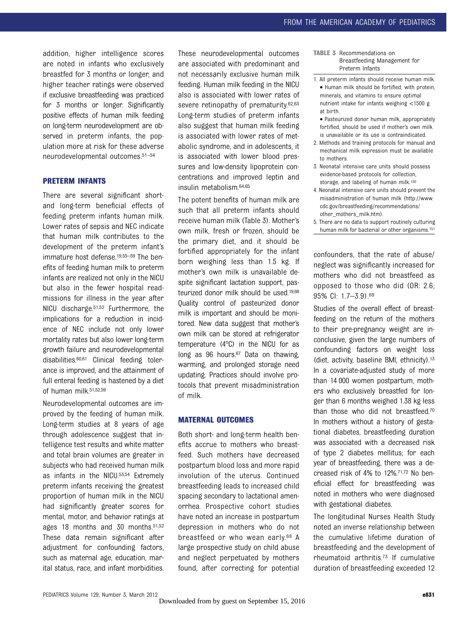addition, higher intelligence scores are noted in infants who exclusively breastfed for 3 months or longer, and higher teacher ratings were observed if exclusive breastfeeding was practiced for 3 months or longer. Significantly positive effects of human milk feeding on long-term neurodevelopment are observed in preterm infants, the population more at risk for these adverse neurodevelopmental outcomes.51–<sup>54</sup>

# PRETERM INFANTS

There are several significant shortand long-term beneficial effects of feeding preterm infants human milk. Lower rates of sepsis and NEC indicate that human milk contributes to the development of the preterm infant's immature host defense.19,55–<sup>59</sup> The benefits of feeding human milk to preterm infants are realized not only in the NICU but also in the fewer hospital readmissions for illness in the year after NICU discharge.51,52 Furthermore, the implications for a reduction in incidence of NEC include not only lower mortality rates but also lower long-term growth failure and neurodevelopmental disabilities.60,61 Clinical feeding tolerance is improved, and the attainment of full enteral feeding is hastened by a diet of human milk.51,52,59

Neurodevelopmental outcomes are improved by the feeding of human milk. Long-term studies at 8 years of age through adolescence suggest that intelligence test results and white matter and total brain volumes are greater in subjects who had received human milk as infants in the NICU.53,54 Extremely preterm infants receiving the greatest proportion of human milk in the NICU had significantly greater scores for mental, motor, and behavior ratings at ages 18 months and 30 months.51,52 These data remain significant after adjustment for confounding factors, such as maternal age, education, marital status, race, and infant morbidities.

These neurodevelopmental outcomes are associated with predominant and not necessarily exclusive human milk feeding. Human milk feeding in the NICU also is associated with lower rates of severe retinopathy of prematurity.<sup>62,63</sup> Long-term studies of preterm infants also suggest that human milk feeding is associated with lower rates of metabolic syndrome, and in adolescents, it is associated with lower blood pressures and low-density lipoprotein concentrations and improved leptin and insulin metabolism.64,65

The potent benefits of human milk are such that all preterm infants should receive human milk (Table 3). Mother's own milk, fresh or frozen, should be the primary diet, and it should be fortified appropriately for the infant born weighing less than 1.5 kg. If mother's own milk is unavailable despite significant lactation support, pasteurized donor milk should be used.19,66 Quality control of pasteurized donor milk is important and should be monitored. New data suggest that mother's own milk can be stored at refrigerator temperature (4°C) in the NICU for as long as 96 hours.<sup>67</sup> Data on thawing, warming, and prolonged storage need updating. Practices should involve protocols that prevent misadministration of milk.

# MATERNAL OUTCOMES

Both short- and long-term health benefits accrue to mothers who breastfeed. Such mothers have decreased postpartum blood loss and more rapid involution of the uterus. Continued breastfeeding leads to increased child spacing secondary to lactational amenorrhea. Prospective cohort studies have noted an increase in postpartum depression in mothers who do not breastfeed or who wean early.<sup>68</sup> A large prospective study on child abuse and neglect perpetuated by mothers found, after correcting for potential

- TABLE 3 Recommendations on Breastfeeding Management for Preterm Infants
- 1. All preterm infants should receive human milk. • Human milk should be fortified, with protein, minerals, and vitamins to ensure optimal nutrient intake for infants weighing <1500 g at birth.
	- Pasteurized donor human milk, appropriately fortified, should be used if mother's own milk is unavailable or its use is contraindicated.
- 2. Methods and training protocols for manual and mechanical milk expression must be available to mothers.
- 3. Neonatal intensive care units should possess evidence-based protocols for collection, storage, and labeling of human milk.150
- 4. Neonatal intensive care units should prevent the misadministration of human milk [\(http://www.](http://www.cdc.gov/breastfeeding/recommendations/other_mothers_milk.htm) [cdc.gov/breastfeeding/recommendations/](http://www.cdc.gov/breastfeeding/recommendations/other_mothers_milk.htm) [other\\_mothers\\_milk.htm](http://www.cdc.gov/breastfeeding/recommendations/other_mothers_milk.htm)).
- 5. There are no data to support routinely culturing human milk for bacterial or other organisms.151

confounders, that the rate of abuse/ neglect was significantly increased for mothers who did not breastfeed as opposed to those who did (OR: 2.6; 95% CI: 1.7–3.9).69

Studies of the overall effect of breastfeeding on the return of the mothers to their pre-pregnancy weight are inconclusive, given the large numbers of confounding factors on weight loss (diet, activity, baseline BMI, ethnicity).13 In a covariate-adjusted study of more than 14 000 women postpartum, mothers who exclusively breastfed for longer than 6 months weighed 1.38 kg less than those who did not breastfeed.70 In mothers without a history of gestational diabetes, breastfeeding duration was associated with a decreased risk of type 2 diabetes mellitus; for each year of breastfeeding, there was a decreased risk of 4% to 12%.71,72 No beneficial effect for breastfeeding was noted in mothers who were diagnosed with gestational diabetes.

The longitudinal Nurses Health Study noted an inverse relationship between the cumulative lifetime duration of breastfeeding and the development of rheumatoid arthritis.73 If cumulative duration of breastfeeding exceeded 12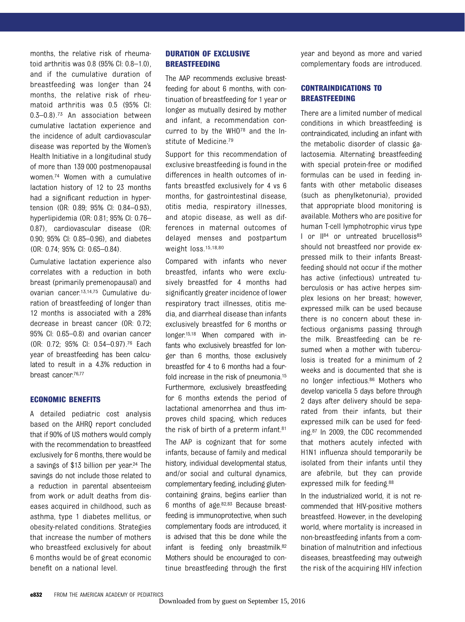months, the relative risk of rheumatoid arthritis was 0.8 (95% CI: 0.8–1.0), and if the cumulative duration of breastfeeding was longer than 24 months, the relative risk of rheumatoid arthritis was 0.5 (95% CI: 0.3–0.8).73 An association between cumulative lactation experience and the incidence of adult cardiovascular disease was reported by the Women's Health Initiative in a longitudinal study of more than 139 000 postmenopausal women.74 Women with a cumulative lactation history of 12 to 23 months had a significant reduction in hypertension (OR: 0.89; 95% CI: 0.84–0.93), hyperlipidemia (OR: 0.81; 95% CI: 0.76– 0.87), cardiovascular disease (OR: 0.90; 95% CI: 0.85–0.96), and diabetes (OR: 0.74; 95% CI: 0.65–0.84).

Cumulative lactation experience also correlates with a reduction in both breast (primarily premenopausal) and ovarian cancer.13,14,75 Cumulative duration of breastfeeding of longer than 12 months is associated with a 28% decrease in breast cancer (OR: 0.72; 95% CI: 0.65–0.8) and ovarian cancer (OR: 0.72; 95% CI: 0.54–0.97).76 Each year of breastfeeding has been calculated to result in a 4.3% reduction in breast cancer.76,77

# ECONOMIC BENEFITS

A detailed pediatric cost analysis based on the AHRQ report concluded that if 90% of US mothers would comply with the recommendation to breastfeed exclusively for 6 months, there would be a savings of \$13 billion per year.24 The savings do not include those related to a reduction in parental absenteeism from work or adult deaths from diseases acquired in childhood, such as asthma, type 1 diabetes mellitus, or obesity-related conditions. Strategies that increase the number of mothers who breastfeed exclusively for about 6 months would be of great economic benefit on a national level.

# DURATION OF EXCLUSIVE BREASTFEEDING

The AAP recommends exclusive breastfeeding for about 6 months, with continuation of breastfeeding for 1 year or longer as mutually desired by mother and infant, a recommendation concurred to by the WHO78 and the Institute of Medicine.79

Support for this recommendation of exclusive breastfeeding is found in the differences in health outcomes of infants breastfed exclusively for 4 vs 6 months, for gastrointestinal disease, otitis media, respiratory illnesses, and atopic disease, as well as differences in maternal outcomes of delayed menses and postpartum weight loss.15,18,80

Compared with infants who never breastfed, infants who were exclusively breastfed for 4 months had significantly greater incidence of lower respiratory tract illnesses, otitis media, and diarrheal disease than infants exclusively breastfed for 6 months or longer.15,18 When compared with infants who exclusively breastfed for longer than 6 months, those exclusively breastfed for 4 to 6 months had a fourfold increase in the risk of pneumonia.15 Furthermore, exclusively breastfeeding for 6 months extends the period of lactational amenorrhea and thus improves child spacing, which reduces the risk of birth of a preterm infant.<sup>81</sup>

The AAP is cognizant that for some infants, because of family and medical history, individual developmental status, and/or social and cultural dynamics, complementary feeding, including glutencontaining grains, begins earlier than 6 months of age.82,83 Because breastfeeding is immunoprotective, when such complementary foods are introduced, it is advised that this be done while the infant is feeding only breastmilk.<sup>82</sup> Mothers should be encouraged to continue breastfeeding through the first year and beyond as more and varied complementary foods are introduced.

# CONTRAINDICATIONS TO BREASTFEEDING

There are a limited number of medical conditions in which breastfeeding is contraindicated, including an infant with the metabolic disorder of classic galactosemia. Alternating breastfeeding with special protein-free or modified formulas can be used in feeding infants with other metabolic diseases (such as phenylketonuria), provided that appropriate blood monitoring is available. Mothers who are positive for human T-cell lymphotrophic virus type  $I$  or  $II^{84}$  or untreated brucellosis<sup>85</sup> should not breastfeed nor provide expressed milk to their infants Breastfeeding should not occur if the mother has active (infectious) untreated tuberculosis or has active herpes simplex lesions on her breast; however, expressed milk can be used because there is no concern about these infectious organisms passing through the milk. Breastfeeding can be resumed when a mother with tuberculosis is treated for a minimum of 2 weeks and is documented that she is no longer infectious.86 Mothers who develop varicella 5 days before through 2 days after delivery should be separated from their infants, but their expressed milk can be used for feeding.87 In 2009, the CDC recommended that mothers acutely infected with H1N1 influenza should temporarily be isolated from their infants until they are afebrile, but they can provide expressed milk for feeding.88

In the industrialized world, it is not recommended that HIV-positive mothers breastfeed. However, in the developing world, where mortality is increased in non-breastfeeding infants from a combination of malnutrition and infectious diseases, breastfeeding may outweigh the risk of the acquiring HIV infection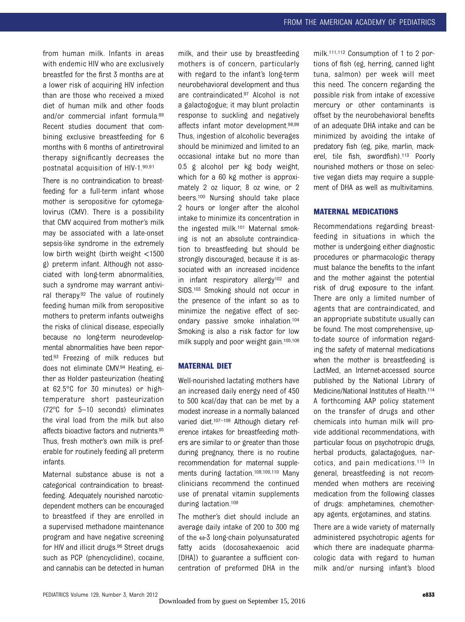from human milk. Infants in areas with endemic HIV who are exclusively breastfed for the first 3 months are at a lower risk of acquiring HIV infection than are those who received a mixed diet of human milk and other foods and/or commercial infant formula.<sup>89</sup> Recent studies document that combining exclusive breastfeeding for 6 months with 6 months of antiretroviral therapy significantly decreases the postnatal acquisition of HIV-1.90,91

There is no contraindication to breastfeeding for a full-term infant whose mother is seropositive for cytomegalovirus (CMV). There is a possibility that CMV acquired from mother's milk may be associated with a late-onset sepsis-like syndrome in the extremely low birth weight (birth weight <1500 g) preterm infant. Although not associated with long-term abnormalities, such a syndrome may warrant antiviral therapy.92 The value of routinely feeding human milk from seropositive mothers to preterm infants outweighs the risks of clinical disease, especially because no long-term neurodevelopmental abnormalities have been reported.93 Freezing of milk reduces but does not eliminate CMV.94 Heating, either as Holder pasteurization (heating at 62.5°C for 30 minutes) or hightemperature short pasteurization (72°C for 5–10 seconds) eliminates the viral load from the milk but also affects bioactive factors and nutrients.95 Thus, fresh mother's own milk is preferable for routinely feeding all preterm infants.

Maternal substance abuse is not a categorical contraindication to breastfeeding. Adequately nourished narcoticdependent mothers can be encouraged to breastfeed if they are enrolled in a supervised methadone maintenance program and have negative screening for HIV and illicit drugs.<sup>96</sup> Street drugs such as PCP (phencyclidine), cocaine, and cannabis can be detected in human

milk, and their use by breastfeeding mothers is of concern, particularly with regard to the infant's long-term neurobehavioral development and thus are contraindicated.97 Alcohol is not a galactogogue; it may blunt prolactin response to suckling and negatively affects infant motor development.98,99 Thus, ingestion of alcoholic beverages should be minimized and limited to an occasional intake but no more than 0.5 g alcohol per kg body weight, which for a 60 kg mother is approximately 2 oz liquor, 8 oz wine, or 2 beers.100 Nursing should take place 2 hours or longer after the alcohol intake to minimize its concentration in the ingested milk.101 Maternal smoking is not an absolute contraindication to breastfeeding but should be strongly discouraged, because it is associated with an increased incidence in infant respiratory allergy<sup>102</sup> and SIDS.<sup>103</sup> Smoking should not occur in the presence of the infant so as to minimize the negative effect of secondary passive smoke inhalation.104 Smoking is also a risk factor for low milk supply and poor weight gain.105,106

# MATERNAL DIET

Well-nourished lactating mothers have an increased daily energy need of 450 to 500 kcal/day that can be met by a modest increase in a normally balanced varied diet.<sup>107-109</sup> Although dietary reference intakes for breastfeeding mothers are similar to or greater than those during pregnancy, there is no routine recommendation for maternal supplements during lactation.108,109,110 Many clinicians recommend the continued use of prenatal vitamin supplements during lactation.109

The mother's diet should include an average daily intake of 200 to 300 mg of the ω-3 long-chain polyunsaturated fatty acids (docosahexaenoic acid [DHA]) to guarantee a sufficient concentration of preformed DHA in the

milk.111,112 Consumption of 1 to 2 portions of fish (eg, herring, canned light tuna, salmon) per week will meet this need. The concern regarding the possible risk from intake of excessive mercury or other contaminants is offset by the neurobehavioral benefits of an adequate DHA intake and can be minimized by avoiding the intake of predatory fish (eg, pike, marlin, mackerel, tile fish, swordfish).113 Poorly nourished mothers or those on selective vegan diets may require a supplement of DHA as well as multivitamins.

# MATERNAL MEDICATIONS

Recommendations regarding breastfeeding in situations in which the mother is undergoing either diagnostic procedures or pharmacologic therapy must balance the benefits to the infant and the mother against the potential risk of drug exposure to the infant. There are only a limited number of agents that are contraindicated, and an appropriate substitute usually can be found. The most comprehensive, upto-date source of information regarding the safety of maternal medications when the mother is breastfeeding is LactMed, an Internet-accessed source published by the National Library of Medicine/National Institutes of Health.114 A forthcoming AAP policy statement on the transfer of drugs and other chemicals into human milk will provide additional recommendations, with particular focus on psychotropic drugs, herbal products, galactagogues, narcotics, and pain medications.115 In general, breastfeeding is not recommended when mothers are receiving medication from the following classes of drugs: amphetamines, chemotherapy agents, ergotamines, and statins.

There are a wide variety of maternally administered psychotropic agents for which there are inadequate pharmacologic data with regard to human milk and/or nursing infant's blood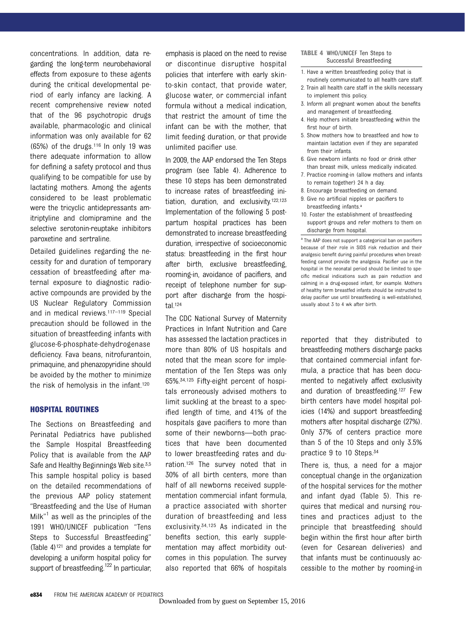concentrations. In addition, data regarding the long-term neurobehavioral effects from exposure to these agents during the critical developmental period of early infancy are lacking. A recent comprehensive review noted that of the 96 psychotropic drugs available, pharmacologic and clinical information was only available for 62 (65%) of the drugs.<sup>116</sup> In only 19 was there adequate information to allow for defining a safety protocol and thus qualifying to be compatible for use by lactating mothers. Among the agents considered to be least problematic were the tricyclic antidepressants amitriptyline and clomipramine and the selective serotonin-reuptake inhibitors paroxetine and sertraline.

Detailed guidelines regarding the necessity for and duration of temporary cessation of breastfeeding after maternal exposure to diagnostic radioactive compounds are provided by the US Nuclear Regulatory Commission and in medical reviews.117–<sup>119</sup> Special precaution should be followed in the situation of breastfeeding infants with glucose-6-phosphate-dehydrogenase deficiency. Fava beans, nitrofurantoin, primaquine, and phenazopyridine should be avoided by the mother to minimize the risk of hemolysis in the infant.120

#### HOSPITAL ROUTINES

The Sections on Breastfeeding and Perinatal Pediatrics have published the Sample Hospital Breastfeeding Policy that is available from the AAP Safe and Healthy Beginnings Web site.3,5 This sample hospital policy is based on the detailed recommendations of the previous AAP policy statement "Breastfeeding and the Use of Human Milk" <sup>1</sup> as well as the principles of the 1991 WHO/UNICEF publication "Tens Steps to Successful Breastfeeding" (Table 4)<sup>121</sup> and provides a template for developing a uniform hospital policy for support of breastfeeding.<sup>122</sup> In particular,

emphasis is placed on the need to revise or discontinue disruptive hospital policies that interfere with early skinto-skin contact, that provide water, glucose water, or commercial infant formula without a medical indication, that restrict the amount of time the infant can be with the mother, that limit feeding duration, or that provide unlimited pacifier use.

In 2009, the AAP endorsed the Ten Steps program (see Table 4). Adherence to these 10 steps has been demonstrated to increase rates of breastfeeding initiation, duration, and exclusivity.<sup>122,123</sup> Implementation of the following 5 postpartum hospital practices has been demonstrated to increase breastfeeding duration, irrespective of socioeconomic status: breastfeeding in the first hour after birth, exclusive breastfeeding, rooming-in, avoidance of pacifiers, and receipt of telephone number for support after discharge from the hospital.124

The CDC National Survey of Maternity Practices in Infant Nutrition and Care has assessed the lactation practices in more than 80% of US hospitals and noted that the mean score for implementation of the Ten Steps was only 65%.34,125 Fifty-eight percent of hospitals erroneously advised mothers to limit suckling at the breast to a specified length of time, and 41% of the hospitals gave pacifiers to more than some of their newborns—both practices that have been documented to lower breastfeeding rates and duration.126 The survey noted that in 30% of all birth centers, more than half of all newborns received supplementation commercial infant formula, a practice associated with shorter duration of breastfeeding and less exclusivity.34,125 As indicated in the benefits section, this early supplementation may affect morbidity outcomes in this population. The survey also reported that 66% of hospitals

#### TABLE 4 WHO/UNICEF Ten Steps to Successful Breastfeeding

- 1. Have a written breastfeeding policy that is
- routinely communicated to all health care staff. 2. Train all health care staff in the skills necessary to implement this policy.
- 3. Inform all pregnant women about the benefits and management of breastfeeding.
- 4. Help mothers initiate breastfeeding within the first hour of birth.
- 5. Show mothers how to breastfeed and how to maintain lactation even if they are separated from their infants.
- 6. Give newborn infants no food or drink other than breast milk, unless medically indicated.
- 7. Practice rooming-in (allow mothers and infants to remain together) 24 h a day.
- 8. Encourage breastfeeding on demand.
- 9. Give no artificial nipples or pacifiers to breastfeeding infants.<sup>a</sup>
- 10. Foster the establishment of breastfeeding support groups and refer mothers to them on discharge from hospital.

 $^{\rm a}$  The AAP does not support a categorical ban on pacifiers because of their role in SIDS risk reduction and their analgesic benefit during painful procedures when breastfeeding cannot provide the analgesia. Pacifier use in the hospital in the neonatal period should be limited to specific medical indications such as pain reduction and calming in a drug-exposed infant, for example. Mothers of healthy term breastfed infants should be instructed to delay pacifier use until breastfeeding is well-established, usually about 3 to 4 wk after birth.

reported that they distributed to breastfeeding mothers discharge packs that contained commercial infant formula, a practice that has been documented to negatively affect exclusivity and duration of breastfeeding.127 Few birth centers have model hospital policies (14%) and support breastfeeding mothers after hospital discharge (27%). Only 37% of centers practice more than 5 of the 10 Steps and only 3.5% practice 9 to 10 Steps.34

There is, thus, a need for a major conceptual change in the organization of the hospital services for the mother and infant dyad (Table 5). This requires that medical and nursing routines and practices adjust to the principle that breastfeeding should begin within the first hour after birth (even for Cesarean deliveries) and that infants must be continuously accessible to the mother by rooming-in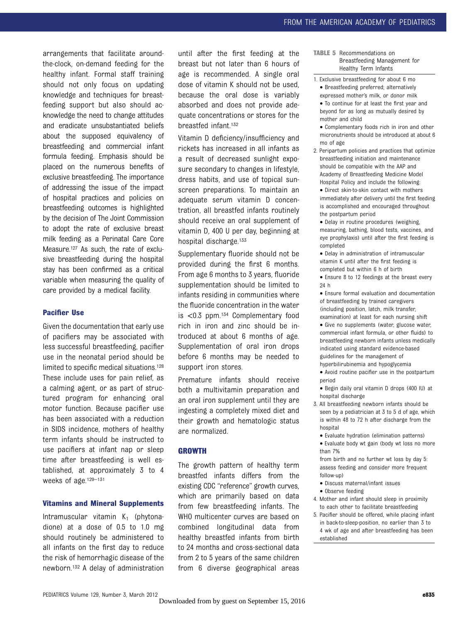arrangements that facilitate aroundthe-clock, on-demand feeding for the healthy infant. Formal staff training should not only focus on updating knowledge and techniques for breastfeeding support but also should acknowledge the need to change attitudes and eradicate unsubstantiated beliefs about the supposed equivalency of breastfeeding and commercial infant formula feeding. Emphasis should be placed on the numerous benefits of exclusive breastfeeding. The importance of addressing the issue of the impact of hospital practices and policies on breastfeeding outcomes is highlighted by the decision of The Joint Commission to adopt the rate of exclusive breast milk feeding as a Perinatal Care Core Measure.127 As such, the rate of exclusive breastfeeding during the hospital stay has been confirmed as a critical variable when measuring the quality of care provided by a medical facility.

#### Pacifier Use

Given the documentation that early use of pacifiers may be associated with less successful breastfeeding, pacifier use in the neonatal period should be limited to specific medical situations.128 These include uses for pain relief, as a calming agent, or as part of structured program for enhancing oral motor function. Because pacifier use has been associated with a reduction in SIDS incidence, mothers of healthy term infants should be instructed to use pacifiers at infant nap or sleep time after breastfeeding is well established, at approximately 3 to 4 weeks of age.129–<sup>131</sup>

# Vitamins and Mineral Supplements

Intramuscular vitamin  $K_1$  (phytonadione) at a dose of 0.5 to 1.0 mg should routinely be administered to all infants on the first day to reduce the risk of hemorrhagic disease of the newborn.132 A delay of administration until after the first feeding at the breast but not later than 6 hours of age is recommended. A single oral dose of vitamin K should not be used, because the oral dose is variably absorbed and does not provide adequate concentrations or stores for the breastfed infant.132

Vitamin D deficiency/insufficiency and rickets has increased in all infants as a result of decreased sunlight exposure secondary to changes in lifestyle, dress habits, and use of topical sunscreen preparations. To maintain an adequate serum vitamin D concentration, all breastfed infants routinely should receive an oral supplement of vitamin D, 400 U per day, beginning at hospital discharge.133

Supplementary fluoride should not be provided during the first 6 months. From age 6 months to 3 years, fluoride supplementation should be limited to infants residing in communities where the fluoride concentration in the water is  $<$ 0.3 ppm. $134$  Complementary food rich in iron and zinc should be introduced at about 6 months of age. Supplementation of oral iron drops before 6 months may be needed to support iron stores.

Premature infants should receive both a multivitamin preparation and an oral iron supplement until they are ingesting a completely mixed diet and their growth and hematologic status are normalized.

# **GROWTH**

The growth pattern of healthy term breastfed infants differs from the existing CDC "reference" growth curves, which are primarily based on data from few breastfeeding infants. The WHO multicenter curves are based on combined longitudinal data from healthy breastfed infants from birth to 24 months and cross-sectional data from 2 to 5 years of the same children from 6 diverse geographical areas

- TABLE 5 Recommendations on Breastfeeding Management for Healthy Term Infants
- 1. Exclusive breastfeeding for about 6 mo • Breastfeeding preferred: alternatively expressed mother's milk, or donor milk • To continue for at least the first year and beyond for as long as mutually desired by mother and child
	- Complementary foods rich in iron and other micronutrients should be introduced at about 6 mo of age
- 2. Peripartum policies and practices that optimize breastfeeding initiation and maintenance should be compatible with the AAP and Academy of Breastfeeding Medicine Model Hospital Policy and include the following:
	- Direct skin-to-skin contact with mothers immediately after delivery until the first feeding is accomplished and encouraged throughout the postpartum period
	- Delay in routine procedures (weighing, measuring, bathing, blood tests, vaccines, and eye prophylaxis) until after the first feeding is completed
	- Delay in administration of intramuscular vitamin K until after the first feeding is completed but within 6 h of birth
	- Ensure 8 to 12 feedings at the breast every 24 h
	- Ensure formal evaluation and documentation of breastfeeding by trained caregivers (including position, latch, milk transfer, examination) at least for each nursing shift
	- Give no supplements (water, glucose water, commercial infant formula, or other fluids) to breastfeeding newborn infants unless medically indicated using standard evidence-based guidelines for the management of hyperbilirubinemia and hypoglycemia
	- Avoid routine pacifier use in the postpartum period
	- Begin daily oral vitamin D drops (400 IU) at hospital discharge
- 3. All breastfeeding newborn infants should be seen by a pediatrician at 3 to 5 d of age, which is within 48 to 72 h after discharge from the hospital
	- Evaluate hydration (elimination patterns)
	- Evaluate body wt gain (body wt loss no more than 7%
	- from birth and no further wt loss by day 5: assess feeding and consider more frequent follow-up)
	- Discuss maternal/infant issues
- Observe feeding
- 4. Mother and infant should sleep in proximity to each other to facilitate breastfeeding
- 5. Pacifier should be offered, while placing infant in back-to-sleep-position, no earlier than 3 to 4 wk of age and after breastfeeding has been established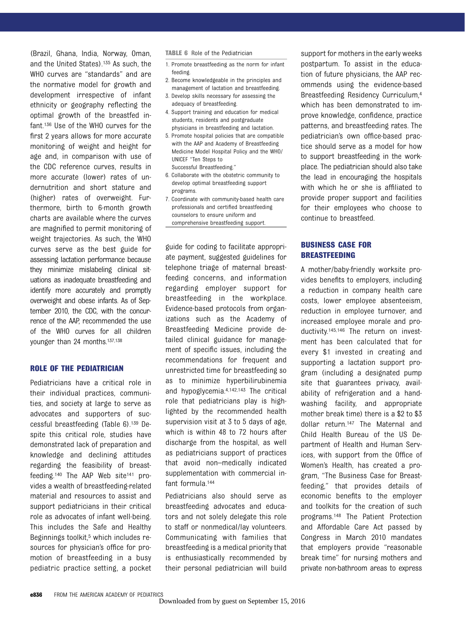(Brazil, Ghana, India, Norway, Oman, and the United States).135 As such, the WHO curves are "standards" and are the normative model for growth and development irrespective of infant ethnicity or geography reflecting the optimal growth of the breastfed infant.136 Use of the WHO curves for the first 2 years allows for more accurate monitoring of weight and height for age and, in comparison with use of the CDC reference curves, results in more accurate (lower) rates of undernutrition and short stature and (higher) rates of overweight. Furthermore, birth to 6-month growth charts are available where the curves are magnified to permit monitoring of weight trajectories. As such, the WHO curves serve as the best guide for assessing lactation performance because they minimize mislabeling clinical situations as inadequate breastfeeding and identify more accurately and promptly overweight and obese infants. As of September 2010, the CDC, with the concurrence of the AAP, recommended the use of the WHO curves for all children younger than 24 months.<sup>137,138</sup>

# ROLE OF THE PEDIATRICIAN

Pediatricians have a critical role in their individual practices, communities, and society at large to serve as advocates and supporters of successful breastfeeding (Table 6).139 Despite this critical role, studies have demonstrated lack of preparation and knowledge and declining attitudes regarding the feasibility of breastfeeding.<sup>140</sup> The AAP Web site<sup>141</sup> provides a wealth of breastfeeding-related material and resources to assist and support pediatricians in their critical role as advocates of infant well-being. This includes the Safe and Healthy Beginnings toolkit,5 which includes resources for physician's office for promotion of breastfeeding in a busy pediatric practice setting, a pocket TABLE 6 Role of the Pediatrician

- 1. Promote breastfeeding as the norm for infant feeding.
- 2. Become knowledgeable in the principles and management of lactation and breastfeeding.
- 3. Develop skills necessary for assessing the adequacy of breastfeeding.
- 4. Support training and education for medical students, residents and postgraduate physicians in breastfeeding and lactation.
- 5. Promote hospital policies that are compatible with the AAP and Academy of Breastfeeding Medicine Model Hospital Policy and the WHO/ UNICEF "Ten Steps to
	- Successful Breastfeeding."
- 6. Collaborate with the obstetric community to develop optimal breastfeeding support programs.
- 7. Coordinate with community-based health care professionals and certified breastfeeding counselors to ensure uniform and comprehensive breastfeeding support.

guide for coding to facilitate appropriate payment, suggested guidelines for telephone triage of maternal breastfeeding concerns, and information regarding employer support for breastfeeding in the workplace. Evidence-based protocols from organizations such as the Academy of Breastfeeding Medicine provide detailed clinical guidance for management of specific issues, including the recommendations for frequent and unrestricted time for breastfeeding so as to minimize hyperbilirubinemia and hypoglycemia.4,142,143 The critical role that pediatricians play is highlighted by the recommended health supervision visit at 3 to 5 days of age, which is within 48 to 72 hours after discharge from the hospital, as well as pediatricians support of practices that avoid non–medically indicated supplementation with commercial infant formula.144

Pediatricians also should serve as breastfeeding advocates and educators and not solely delegate this role to staff or nonmedical/lay volunteers. Communicating with families that breastfeeding is a medical priority that is enthusiastically recommended by their personal pediatrician will build

support for mothers in the early weeks postpartum. To assist in the education of future physicians, the AAP recommends using the evidence-based Breastfeeding Residency Curriculum,4 which has been demonstrated to improve knowledge, confidence, practice patterns, and breastfeeding rates. The pediatrician's own office-based practice should serve as a model for how to support breastfeeding in the workplace. The pediatrician should also take the lead in encouraging the hospitals with which he or she is affiliated to provide proper support and facilities for their employees who choose to continue to breastfeed.

# BUSINESS CASE FOR BREASTFEEDING

A mother/baby-friendly worksite provides benefits to employers, including a reduction in company health care costs, lower employee absenteeism, reduction in employee turnover, and increased employee morale and productivity.145,146 The return on investment has been calculated that for every \$1 invested in creating and supporting a lactation support program (including a designated pump site that guarantees privacy, availability of refrigeration and a handwashing facility, and appropriate mother break time) there is a \$2 to \$3 dollar return.147 The Maternal and Child Health Bureau of the US Department of Health and Human Services, with support from the Office of Women's Health, has created a program, "The Business Case for Breastfeeding," that provides details of economic benefits to the employer and toolkits for the creation of such programs.148 The Patient Protection and Affordable Care Act passed by Congress in March 2010 mandates that employers provide "reasonable break time" for nursing mothers and private non-bathroom areas to express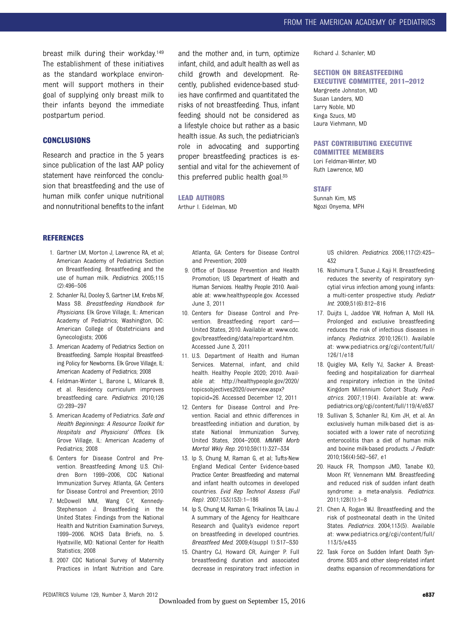breast milk during their workday.149 The establishment of these initiatives as the standard workplace environment will support mothers in their goal of supplying only breast milk to their infants beyond the immediate postpartum period.

# **CONCLUSIONS**

Research and practice in the 5 years since publication of the last AAP policy statement have reinforced the conclusion that breastfeeding and the use of human milk confer unique nutritional and nonnutritional benefits to the infant

#### REFERENCES

- 1. Gartner LM, Morton J, Lawrence RA, et al; American Academy of Pediatrics Section on Breastfeeding. Breastfeeding and the use of human milk. Pediatrics. 2005;115 (2):496–506
- 2. Schanler RJ, Dooley S, Gartner LM, Krebs NF, Mass SB. Breastfeeding Handbook for Physicians. Elk Grove Village, IL: American Academy of Pediatrics; Washington, DC: American College of Obstetricians and Gynecologists; 2006
- 3. American Academy of Pediatrics Section on Breastfeeding. Sample Hospital Breastfeeding Policy for Newborns. Elk Grove Village, IL: American Academy of Pediatrics; 2008
- 4. Feldman-Winter L, Barone L, Milcarek B, et al. Residency curriculum improves breastfeeding care. Pediatrics. 2010;126 (2):289–297
- 5. American Academy of Pediatrics. Safe and Health Beginnings: A Resource Toolkit for Hospitals and Physicians' Offices. Elk Grove Village, IL: American Academy of Pediatrics; 2008
- 6. Centers for Disease Control and Prevention. Breastfeeding Among U.S. Children Born 1999–2006, CDC National Immunization Survey. Atlanta, GA: Centers for Disease Control and Prevention; 2010
- 7. McDowell MM, Wang C-Y, Kennedy-Stephenson J. Breastfeeding in the United States: Findings from the National Health and Nutrition Examination Surveys, 1999–2006. NCHS Data Briefs, no. 5. Hyatsville, MD: National Center for Health Statistics; 2008
- 8. 2007 CDC National Survey of Maternity Practices in Infant Nutrition and Care.

and the mother and, in turn, optimize infant, child, and adult health as well as child growth and development. Recently, published evidence-based studies have confirmed and quantitated the risks of not breastfeeding. Thus, infant feeding should not be considered as a lifestyle choice but rather as a basic health issue. As such, the pediatrician's role in advocating and supporting proper breastfeeding practices is essential and vital for the achievement of this preferred public health goal.<sup>35</sup>

#### LEAD AUTHORS

Arthur I. Eidelman, MD

Atlanta, GA: Centers for Disease Control and Prevention; 2009

- 9. Office of Disease Prevention and Health Promotion; US Department of Health and Human Services. Healthy People 2010. Available at: www.healthypeople.gov. Accessed June 3, 2011
- 10. Centers for Disease Control and Prevention. Breastfeeding report card— United States, 2010. Available at: www.cdc. gov/breastfeeding/data/reportcard.htm. Accessed June 3, 2011
- 11. U.S. Department of Health and Human Services. Maternal, infant, and child health. Healthy People 2020; 2010. Available at: http://healthypeople.gov/2020/ topicsobjectives2020/overview.aspx? topicid=26. Accessed December 12, 2011
- 12. Centers for Disease Control and Prevention. Racial and ethnic differences in breastfeeding initiation and duration, by state National Immunization Survey, United States, 2004–2008. MMWR Morb Mortal Wkly Rep. 2010;59(11):327–334
- 13. Ip S, Chung M, Raman G, et al; Tufts-New England Medical Center Evidence-based Practice Center. Breastfeeding and maternal and infant health outcomes in developed countries. Evid Rep Technol Assess (Full Rep). 2007;153(153):1–186
- 14. Ip S, Chung M, Raman G, Trikalinos TA, Lau J. A summary of the Agency for Healthcare Research and Quality's evidence report on breastfeeding in developed countries. Breastfeed Med. 2009;4(suppl 1):S17–S30
- 15. Chantry CJ, Howard CR, Auinger P. Full breastfeeding duration and associated decrease in respiratory tract infection in

Richard J. Schanler, MD

#### SECTION ON BREASTFEEDING EXECUTIVE COMMITTEE, 2011–2012

Margreete Johnston, MD Susan Landers, MD Larry Noble, MD Kinga Szucs, MD Laura Viehmann, MD

# PAST CONTRIBUTING EXECUTIVE COMMITTEE MEMBERS

Lori Feldman-Winter, MD Ruth Lawrence, MD

#### **STAFF**

Sunnah Kim, MS Ngozi Onyema, MPH

> US children. Pediatrics. 2006;117(2):425– 432

- 16. Nishimura T, Suzue J, Kaji H. Breastfeeding reduces the severity of respiratory syncytial virus infection among young infants: a multi-center prospective study. Pediatr Int. 2009;51(6):812–816
- 17. Duijts L, Jaddoe VW, Hofman A, Moll HA. Prolonged and exclusive breastfeeding reduces the risk of infectious diseases in infancy. Pediatrics. 2010;126(1). Available at: www.pediatrics.org/cgi/content/full/ 126/1/e18
- 18. Quigley MA, Kelly YJ, Sacker A. Breastfeeding and hospitalization for diarrheal and respiratory infection in the United Kingdom Millennium Cohort Study. Pediatrics. 2007;119(4). Available at: www. pediatrics.org/cgi/content/full/119/4/e837
- 19. Sullivan S, Schanler RJ, Kim JH, et al. An exclusively human milk-based diet is associated with a lower rate of necrotizing enterocolitis than a diet of human milk and bovine milk-based products. J Pediatr. 2010;156(4):562–567, e1
- 20. Hauck FR, Thompson JMD, Tanabe KO, Moon RY, Vennemann MM. Breastfeeding and reduced risk of sudden infant death syndrome: a meta-analysis. Pediatrics. 2011;128(1):1–8
- 21. Chen A, Rogan WJ. Breastfeeding and the risk of postneonatal death in the United States. Pediatrics. 2004;113(5). Available at: www.pediatrics.org/cgi/content/full/ 113/5/e435
- 22. Task Force on Sudden Infant Death Syndrome. SIDS and other sleep-related infant deaths: expansion of recommendations for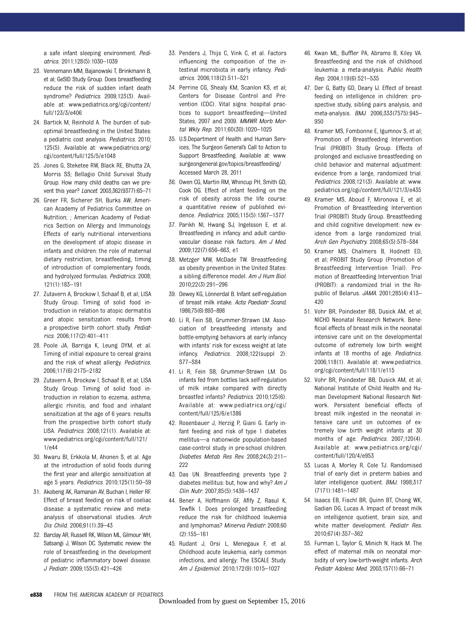a safe infant sleeping environment. Pediatrics. 2011;128(5):1030–1039

- 23. Vennemann MM, Bajanowski T, Brinkmann B, et al; GeSID Study Group. Does breastfeeding reduce the risk of sudden infant death syndrome? Pediatrics. 2009;123(3). Available at: www.pediatrics.org/cgi/content/ full/123/3/e406
- 24. Bartick M, Reinhold A. The burden of suboptimal breastfeeding in the United States: a pediatric cost analysis. Pediatrics. 2010; 125(5). Available at: www.pediatrics.org/ cgi/content/full/125/5/e1048
- 25. Jones G, Steketee RW, Black RE, Bhutta ZA, Morris SS; Bellagio Child Survival Study Group. How many child deaths can we prevent this year? Lancet. 2003;362(9377):65-71
- 26. Greer FR, Sicherer SH, Burks AW; American Academy of Pediatrics Committee on Nutrition; ; American Academy of Pediatrics Section on Allergy and Immunology. Effects of early nutritional interventions on the development of atopic disease in infants and children: the role of maternal dietary restriction, breastfeeding, timing of introduction of complementary foods, and hydrolyzed formulas. Pediatrics. 2008; 121(1):183–191
- 27. Zutavern A, Brockow I, Schaaf B, et al; LISA Study Group. Timing of solid food introduction in relation to atopic dermatitis and atopic sensitization: results from a prospective birth cohort study. Pediatrics. 2006;117(2):401–411
- 28. Poole JA, Barriga K, Leung DYM, et al. Timing of initial exposure to cereal grains and the risk of wheat allergy. Pediatrics. 2006;117(6):2175–2182
- 29. Zutavern A, Brockow I, Schaaf B, et al; LISA Study Group. Timing of solid food introduction in relation to eczema, asthma, allergic rhinitis, and food and inhalant sensitization at the age of 6 years: results from the prospective birth cohort study LISA. Pediatrics. 2008;121(1). Available at: www.pediatrics.org/cgi/content/full/121/ 1/e44
- 30. Nwaru BI, Erkkola M, Ahonen S, et al. Age at the introduction of solid foods during the first year and allergic sensitization at age 5 years. Pediatrics. 2010;125(1):50–59
- 31. Akobeng AK, Ramanan AV, Buchan I, Heller RF. Effect of breast feeding on risk of coeliac disease: a systematic review and metaanalysis of observational studies. Arch Dis Child. 2006;91(1):39–43
- 32. Barclay AR, Russell RK, Wilson ML, Gilmour WH, Satsangi J, Wilson DC. Systematic review: the role of breastfeeding in the development of pediatric inflammatory bowel disease. J Pediatr. 2009;155(3):421–426
- 33. Penders J, Thijs C, Vink C, et al. Factors influencing the composition of the intestinal microbiota in early infancy. Pediatrics. 2006;118(2):511–521
- 34. Perrine CG, Shealy KM, Scanlon KS, et al; Centers for Disease Control and Prevention (CDC). Vital signs: hospital practices to support breastfeeding—United States, 2007 and 2009. MMWR Morb Mortal Wkly Rep. 2011;60(30):1020–1025
- 35. U.S.Department of Health and Human Services, The Surgeon General's Call to Action to Support Breastfeeding. Available at: [www.](www.surgeongeneral.gov/topics/breastfeeding/Accessed March 28, 2011) [surgeongeneral.gov/topics/breastfeeding/](www.surgeongeneral.gov/topics/breastfeeding/Accessed March 28, 2011) [Accessed March 28, 2011](www.surgeongeneral.gov/topics/breastfeeding/Accessed March 28, 2011)
- 36. Owen CG, Martin RM, Whincup PH, Smith GD, Cook DG. Effect of infant feeding on the risk of obesity across the life course: a quantitative review of published evidence. Pediatrics. 2005;115(5):1367–1377
- 37. Parikh NI, Hwang SJ, Ingelsson E, et al. Breastfeeding in infancy and adult cardiovascular disease risk factors. Am J Med. 2009;122(7):656–663, e1
- 38. Metzger MW, McDade TW. Breastfeeding as obesity prevention in the United States: a sibling difference model. Am J Hum Biol. 2010;22(3):291–296
- 39. Dewey KG, Lönnerdal B. Infant self-regulation of breast milk intake. Acta Paediatr Scand. 1986;75(6):893–898
- 40. Li R, Fein SB, Grummer-Strawn LM. Association of breastfeeding intensity and bottle-emptying behaviors at early infancy with infants' risk for excess weight at late infancy. Pediatrics. 2008;122(suppl 2): S77–S84
- 41. Li R, Fein SB, Grummer-Strawn LM. Do infants fed from bottles lack self-regulation of milk intake compared with directly breastfed infants? Pediatrics. 2010;125(6). Available at: www.pediatrics.org/cgi/ content/full/125/6/e1386
- 42. Rosenbauer J, Herzig P, Giani G. Early infant feeding and risk of type 1 diabetes mellitus—a nationwide population-based case-control study in pre-school children. Diabetes Metab Res Rev. 2008;24(3):211– 222
- 43. Das UN. Breastfeeding prevents type 2 diabetes mellitus: but, how and why? Am J Clin Nutr. 2007;85(5):1436–1437
- 44. Bener A, Hoffmann GF, Afify Z, Rasul K, Tewfik I. Does prolonged breastfeeding reduce the risk for childhood leukemia and lymphomas? Minerva Pediatr. 2008;60 (2):155–161
- 45. Rudant J, Orsi L, Menegaux F, et al. Childhood acute leukemia, early common infections, and allergy: The ESCALE Study. Am J Epidemiol. 2010;172(9):1015–1027
- 46. Kwan ML, Buffler PA, Abrams B, Kiley VA. Breastfeeding and the risk of childhood leukemia: a meta-analysis. Public Health Rep. 2004;119(6):521–535
- 47. Der G, Batty GD, Deary IJ. Effect of breast feeding on intelligence in children: prospective study, sibling pairs analysis, and meta-analysis. BMJ. 2006;333(7575):945– 950
- 48. Kramer MS, Fombonne E, Igumnov S, et al; Promotion of Breastfeeding Intervention Trial (PROBIT) Study Group. Effects of prolonged and exclusive breastfeeding on child behavior and maternal adjustment: evidence from a large, randomized trial. Pediatrics. 2008;121(3). Available at: www. pediatrics.org/cgi/content/full/121/3/e435
- 49. Kramer MS, Aboud F, Mironova E, et al; Promotion of Breastfeeding Intervention Trial (PROBIT) Study Group. Breastfeeding and child cognitive development: new evidence from a large randomized trial. Arch Gen Psychiatry. 2008;65(5):578–584
- 50. Kramer MS, Chalmers B, Hodnett ED, et al; PROBIT Study Group (Promotion of Breastfeeding Intervention Trial). Promotion of Breastfeeding Intervention Trial (PROBIT): a randomized trial in the Republic of Belarus. JAMA. 2001;285(4):413– 420
- 51. Vohr BR, Poindexter BB, Dusick AM, et al; NICHD Neonatal Research Network. Beneficial effects of breast milk in the neonatal intensive care unit on the developmental outcome of extremely low birth weight infants at 18 months of age. Pediatrics. 2006;118(1). Available at: www.pediatrics. org/cgi/content/full/118/1/e115
- 52. Vohr BR, Poindexter BB, Dusick AM, et al; National Institute of Child Health and Human Development National Research Network. Persistent beneficial effects of breast milk ingested in the neonatal intensive care unit on outcomes of extremely low birth weight infants at 30 months of age. Pediatrics. 2007;120(4). Available at: www.pediatrics.org/cgi/ content/full/120/4/e953
- 53. Lucas A, Morley R, Cole TJ. Randomised trial of early diet in preterm babies and later intelligence quotient. BMJ. 1998;317 (7171):1481–1487
- 54. Isaacs EB, Fischl BR, Quinn BT, Chong WK, Gadian DG, Lucas A. Impact of breast milk on intelligence quotient, brain size, and white matter development. Pediatr Res. 2010;67(4):357–362
- 55. Furman L, Taylor G, Minich N, Hack M. The effect of maternal milk on neonatal morbidity of very low-birth-weight infants. Arch Pediatr Adolesc Med. 2003;157(1):66–71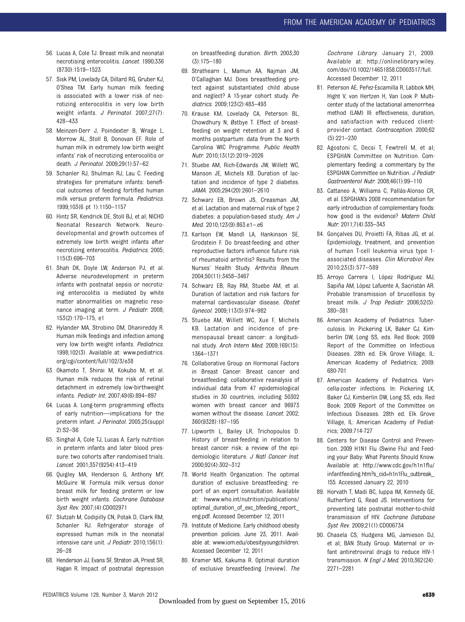- 56. Lucas A, Cole TJ. Breast milk and neonatal necrotising enterocolitis. Lancet. 1990;336 (8730):1519–1523
- 57. Sisk PM, Lovelady CA, Dillard RG, Gruber KJ, O'Shea TM. Early human milk feeding is associated with a lower risk of necrotizing enterocolitis in very low birth weight infants. J Perinatol. 2007;27(7): 428–433
- 58. Meinzen-Derr J, Poindexter B, Wrage L, Morrow AL, Stoll B, Donovan EF. Role of human milk in extremely low birth weight infants' risk of necrotizing enterocolitis or death. J Perinatol. 2009;29(1):57–62
- 59. Schanler RJ, Shulman RJ, Lau C. Feeding strategies for premature infants: beneficial outcomes of feeding fortified human milk versus preterm formula. Pediatrics. 1999;103(6 pt 1):1150–1157
- 60. Hintz SR, Kendrick DE, Stoll BJ, et al; NICHD Neonatal Research Network. Neurodevelopmental and growth outcomes of extremely low birth weight infants after necrotizing enterocolitis. Pediatrics. 2005; 115(3):696–703
- 61. Shah DK, Doyle LW, Anderson PJ, et al. Adverse neurodevelopment in preterm infants with postnatal sepsis or necrotizing enterocolitis is mediated by white matter abnormalities on magnetic resonance imaging at term. J Pediatr. 2008; 153(2):170–175, e1
- 62. Hylander MA, Strobino DM, Dhanireddy R. Human milk feedings and infection among very low birth weight infants. Pediatrics. 1998;102(3). Available at: www.pediatrics. org/cgi/content/full/102/3/e38
- 63. Okamoto T, Shirai M, Kokubo M, et al. Human milk reduces the risk of retinal detachment in extremely low-birthweight infants. Pediatr Int. 2007;49(6):894–897
- 64. Lucas A. Long-term programming effects of early nutrition—implications for the preterm infant. J Perinatol. 2005;25(suppl 2):S2–S6
- 65. Singhal A, Cole TJ, Lucas A. Early nutrition in preterm infants and later blood pressure: two cohorts after randomised trials. Lancet. 2001;357(9254):413–419
- 66. Quigley MA, Henderson G, Anthony MY, McGuire W. Formula milk versus donor breast milk for feeding preterm or low birth weight infants. Cochrane Database Syst Rev. 2007;(4):CD002971
- 67. Slutzah M, Codipilly CN, Potak D, Clark RM, Schanler RJ. Refrigerator storage of expressed human milk in the neonatal intensive care unit. J Pediatr. 2010;156(1): 26–28
- 68. Henderson JJ, Evans SF, Straton JA, Priest SR, Hagan R. Impact of postnatal depression

on breastfeeding duration. Birth. 2003;30 (3):175–180

- 69. Strathearn L, Mamun AA, Najman JM, O'Callaghan MJ. Does breastfeeding protect against substantiated child abuse and neglect? A 15-year cohort study. Pediatrics. 2009;123(2):483–493
- 70. Krause KM, Lovelady CA, Peterson BL, Chowdhury N, Østbye T. Effect of breastfeeding on weight retention at 3 and 6 months postpartum: data from the North Carolina WIC Programme. Public Health Nutr. 2010;13(12):2019–2026
- 71. Stuebe AM, Rich-Edwards JW, Willett WC, Manson JE, Michels KB. Duration of lactation and incidence of type 2 diabetes. JAMA. 2005;294(20):2601–2610
- 72. Schwarz EB, Brown JS, Creasman JM, et al. Lactation and maternal risk of type 2 diabetes: a population-based study. Am J Med. 2010;123(9):863.e1–.e6
- 73. Karlson EW, Mandl LA, Hankinson SE, Grodstein F. Do breast-feeding and other reproductive factors influence future risk of rheumatoid arthritis? Results from the Nurses' Health Study. Arthritis Rheum. 2004;50(11):3458–3467
- 74. Schwarz EB, Ray RM, Stuebe AM, et al. Duration of lactation and risk factors for maternal cardiovascular disease. Obstet Gynecol. 2009;113(5):974–982
- 75. Stuebe AM, Willett WC, Xue F, Michels KB. Lactation and incidence of premenopausal breast cancer: a longitudinal study. Arch Intern Med. 2009;169(15): 1364–1371
- 76. Collaborative Group on Hormonal Factors in Breast Cancer. Breast cancer and breastfeeding: collaborative reanalysis of individual data from 47 epidemiological studies in 30 countries, including 50302 women with breast cancer and 96973 women without the disease. Lancet. 2002; 360(9328):187–195
- 77. Lipworth L, Bailey LR, Trichopoulos D. History of breast-feeding in relation to breast cancer risk: a review of the epidemiologic literature. J Natl Cancer Inst. 2000;92(4):302–312
- 78. World Health Organization. The optimal duration of exclusive breastfeeding: report of an expert consultation. Available at: [hwww.who.int/nutrition/publications/](hwww.who.int/nutrition/publications/optimal_duration_of_exc_bfeeding_report_eng.pdf) [optimal\\_duration\\_of\\_exc\\_bfeeding\\_report\\_](hwww.who.int/nutrition/publications/optimal_duration_of_exc_bfeeding_report_eng.pdf) [eng.pdf.](hwww.who.int/nutrition/publications/optimal_duration_of_exc_bfeeding_report_eng.pdf) Accessed December 12, 2011
- 79. Institute of Medicine. Early childhood obesity prevention policies. June 23, 2011. Available at: [www.iom.edu/obesityyoungchildren.](www.iom.edu/obesityyoungchildren. Accessed December 12, 2011 ) [Accessed December 12, 2011](www.iom.edu/obesityyoungchildren. Accessed December 12, 2011 )
- 80. Kramer MS, Kakuma R. Optimal duration of exclusive breastfeeding [review]. The

Cochrane Library. January 21, 2009. Available at: http://onlinelibrary.wiley. com/doi/10.1002/14651858.CD003517/full. Accessed December 12, 2011

- 81. Peterson AE, Perez-Escamilla R, Labbok MH. Hight V, von Hertzen H, Van Look P. Multicenter study of the lactational amenorrhea method (LAM) III: effectiveness, duration, and satisfaction with reduced clientprovider contact. Contraception. 2000;62 (5):221–230
- 82. Agostoni C, Decsi T, Fewtrell M, et al; ESPGHAN Committee on Nutrition. Complementary feeding: a commentary by the ESPGHAN Committee on Nutrition. J Pediatr Gastroenterol Nutr. 2008;46(1):99–110
- 83. Cattaneo A, Williams C, Pallás-Alonso CR, et al. ESPGHAN's 2008 recommendation for early introduction of complementary foods: how good is the evidence? Matern Child Nutr. 2011;7(4):335–343
- 84. Gonçalves DU, Proietti FA, Ribas JG, et al. Epidemiology, treatment, and prevention of human T-cell leukemia virus type 1 associated diseases. Clin Microbiol Rev. 2010;23(3):577–589
- 85. Arroyo Carrera I, López Rodríguez MJ, Sapiña AM, López Lafuente A, Sacristán AR. Probable transmission of brucellosis by breast milk. J Trop Pediatr. 2006;52(5): 380–381
- 86. American Academy of Pediatrics. Tuberculosis. In: Pickering LK, Baker CJ, Kimberlin DW, Long SS, eds. Red Book: 2009 Report of the Committee on Infectious Diseases. 28th ed. Elk Grove Village, IL: American Academy of Pediatrics; 2009: 680-701
- 87. American Academy of Pediatrics. Varicella-zoster infections. In: Pickering LK, Baker CJ, Kimberlin DW, Long SS, eds. Red Book: 2009 Report of the Committee on Infectious Diseases. 28th ed. Elk Grove Village, IL: American Academy of Pediatrics; 2009:714-727
- 88. Centers for Disease Control and Prevention. 2009 H1N1 Flu (Swine Flu) and Feeding your Baby: What Parents Should Know. Available at: [http://www.cdc.gov/h1n1](http://www.cdc.gov/h1n1flu/infantfeeding.htm?s_cid=h1n1Flu_outbreak_155)flu/ [infantfeeding.htm?s\\_cid=h1n1Flu\\_outbreak\\_](http://www.cdc.gov/h1n1flu/infantfeeding.htm?s_cid=h1n1Flu_outbreak_155) [155.](http://www.cdc.gov/h1n1flu/infantfeeding.htm?s_cid=h1n1Flu_outbreak_155) Accessed January 22, 2010
- 89. Horvath T, Madi BC, Iuppa IM, Kennedy GE, Rutherford G, Read JS. Interventions for preventing late postnatal mother-to-child transmission of HIV. Cochrane Database Syst Rev. 2009;21(1):CD006734
- 90. Chasela CS, Hudgens MG, Jamieson DJ, et al; BAN Study Group. Maternal or infant antiretroviral drugs to reduce HIV-1 transmission. N Engl J Med. 2010;362(24): 2271–2281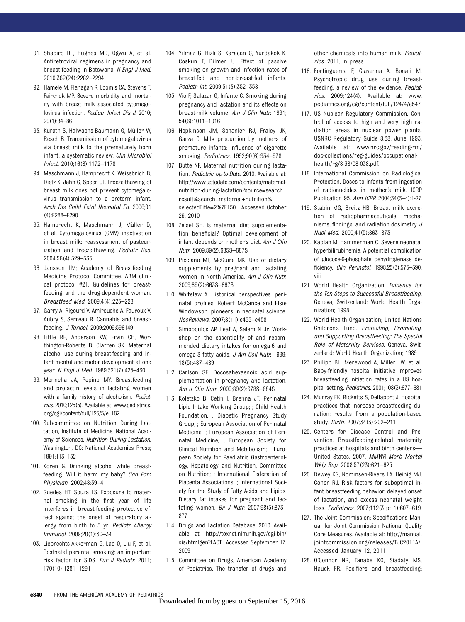- 91. Shapiro RL, Hughes MD, Ogwu A, et al. Antiretroviral regimens in pregnancy and breast-feeding in Botswana. N Engl J Med. 2010;362(24):2282–2294
- 92. Hamele M, Flanagan R, Loomis CA, Stevens T, Fairchok MP. Severe morbidity and mortality with breast milk associated cytomegalovirus infection. Pediatr Infect Dis J. 2010; 29(1):84–86
- 93. Kurath S, Halwachs-Baumann G, Müller W, Resch B. Transmission of cytomegalovirus via breast milk to the prematurely born infant: a systematic review. Clin Microbiol Infect. 2010;16(8):1172–1178
- 94. Maschmann J, Hamprecht K, Weissbrich B, Dietz K, Jahn G, Speer CP. Freeze-thawing of breast milk does not prevent cytomegalovirus transmission to a preterm infant. Arch Dis Child Fetal Neonatal Ed. 2006;91 (4):F288–F290
- 95. Hamprecht K, Maschmann J, Müller D, et al. Cytomegalovirus (CMV) inactivation in breast milk: reassessment of pasteurization and freeze-thawing. Pediatr Res. 2004;56(4):529–535
- 96. Jansson LM; Academy of Breastfeeding Medicine Protocol Committee. ABM clinical protocol #21: Guidelines for breastfeeding and the drug-dependent woman. Breastfeed Med. 2009;4(4):225–228
- 97. Garry A, Rigourd V, Amirouche A, Fauroux V, Aubry S, Serreau R. Cannabis and breastfeeding. J Toxicol. 2009;2009:596149
- 98. Little RE, Anderson KW, Ervin CH, Worthington-Roberts B, Clarren SK. Maternal alcohol use during breast-feeding and infant mental and motor development at one year. N Engl J Med. 1989;321(7):425-430
- 99. Mennella JA, Pepino MY. Breastfeeding and prolactin levels in lactating women with a family history of alcoholism. Pediatrics. 2010;125(5). Available at: www.pediatrics. org/cgi/content/full/125/5/e1162
- 100. Subcommittee on Nutrition During Lactation, Institute of Medicine, National Academy of Sciences. Nutrition During Lactation. Washington, DC: National Academies Press; 1991:113–152
- 101. Koren G. Drinking alcohol while breastfeeding. Will it harm my baby? Can Fam Physician. 2002;48:39–41
- 102. Guedes HT, Souza LS. Exposure to maternal smoking in the first year of life interferes in breast-feeding protective effect against the onset of respiratory allergy from birth to 5 yr. Pediatr Allergy Immunol. 2009;20(1):30–34
- 103. Liebrechts-Akkerman G, Lao O, Liu F, et al. Postnatal parental smoking: an important risk factor for SIDS. Eur J Pediatr. 2011; 170(10):1281–1291
- 104. Yilmaz G, Hizli S, Karacan C, Yurdakök K, Coskun T, Dilmen U. Effect of passive smoking on growth and infection rates of breast-fed and non-breast-fed infants. Pediatr Int. 2009;51(3):352–358
- 105. Vio F, Salazar G, Infante C. Smoking during pregnancy and lactation and its effects on breast-milk volume. Am J Clin Nutr. 1991; 54(6):1011–1016
- 106. Hopkinson JM, Schanler RJ, Fraley JK, Garza C. Milk production by mothers of premature infants: influence of cigarette smoking. Pediatrics. 1992;90(6):934–938
- 107. Butte NF. Maternal nutrition during lactation. Pediatric Up-to-Date. 2010. Available at: [http://www.uptodate.com/contents/maternal](http://www.uptodate.com/contents/maternal-nutrition-during-lactation?source=search_result&tnqh_x0026;search=maternal+nutrition&tnqh_x0026;selectedTitle=2%7E150)[nutrition-during-lactation?source=search\\_](http://www.uptodate.com/contents/maternal-nutrition-during-lactation?source=search_result&tnqh_x0026;search=maternal+nutrition&tnqh_x0026;selectedTitle=2%7E150) [result&search=maternal+nutrition&](http://www.uptodate.com/contents/maternal-nutrition-during-lactation?source=search_result&tnqh_x0026;search=maternal+nutrition&tnqh_x0026;selectedTitle=2%7E150) [selectedTitle=2%7E150.](http://www.uptodate.com/contents/maternal-nutrition-during-lactation?source=search_result&tnqh_x0026;search=maternal+nutrition&tnqh_x0026;selectedTitle=2%7E150) Accessed October 29, 2010
- 108. Zeisel SH. Is maternal diet supplementation beneficial? Optimal development of infant depends on mother's diet. Am J Clin Nutr. 2009;89(2):685S–687S
- 109. Picciano MF, McGuire MK. Use of dietary supplements by pregnant and lactating women in North America. Am J Clin Nutr. 2009;89(2):663S–667S
- 110. Whitelaw A. Historical perspectives: perinatal profiles: Robert McCance and Elsie Widdowson: pioneers in neonatal science. NeoReviews. 2007;8(11):e455–e458
- 111. Simopoulos AP, Leaf A, Salem N Jr. Workshop on the essentiality of and recommended dietary intakes for omega-6 and omega-3 fatty acids. J Am Coll Nutr. 1999; 18(5):487–489
- 112. Carlson SE. Docosahexaenoic acid supplementation in pregnancy and lactation. Am J Clin Nutr. 2009;89(2):678S–684S
- 113. Koletzko B, Cetin I, Brenna JT; Perinatal Lipid Intake Working Group; ; Child Health Foundation; ; Diabetic Pregnancy Study Group; ; European Association of Perinatal Medicine; ; European Association of Perinatal Medicine; ; European Society for Clinical Nutrition and Metabolism; ; European Society for Paediatric Gastroenterology, Hepatology and Nutrition, Committee on Nutrition; ; International Federation of Placenta Associations; ; International Society for the Study of Fatty Acids and Lipids. Dietary fat intakes for pregnant and lactating women. Br J Nutr. 2007;98(5):873-877
- 114. Drugs and Lactation Database. 2010. Available at: http:/[/toxnet.nlm.nih.gov/cgi-bin/](toxnet.nlm.nih.gov/cgi-bin/sis/htmlgen?LACT) [sis/htmlgen?LACT.](toxnet.nlm.nih.gov/cgi-bin/sis/htmlgen?LACT) Accessed September 17, 2009
- 115. Committee on Drugs, American Academy of Pediatrics. The transfer of drugs and

other chemicals into human milk. Pediatrics. 2011, In press

- 116. Fortinguerra F, Clavenna A, Bonati M. Psychotropic drug use during breastfeeding: a review of the evidence. Pediatrics. 2009;124(4). Available at: www. pediatrics.org/cgi/content/full/124/4/e547
- 117. US Nuclear Regulatory Commission. Control of access to high and very high radiation areas in nuclear power plants. USNRC Regulatory Guide 8.38. June 1993. Available at: [www.nrc.gov/reading-rm/](www.nrc.gov/reading-rm/doc-collections/reg-guides/occupational-health/rg/8-38/08-038.pdf) [doc-collections/reg-guides/occupational](www.nrc.gov/reading-rm/doc-collections/reg-guides/occupational-health/rg/8-38/08-038.pdf)[health/rg/8-38/08-038.pdf.](www.nrc.gov/reading-rm/doc-collections/reg-guides/occupational-health/rg/8-38/08-038.pdf)
- 118. International Commission on Radiological Protection. Doses to infants from ingestion of radionuclides in mother's milk. ICRP Publication 95. Ann ICRP. 2004;34(3–4):1-27
- 119. Stabin MG, Breitz HB. Breast milk excretion of radiopharmaceuticals: mechanisms, findings, and radiation dosimetry. J Nucl Med. 2000;41(5):863–873
- 120. Kaplan M, Hammerman C. Severe neonatal hyperbilirubinemia. A potential complication of glucose-6-phosphate dehydrogenase deficiency. Clin Perinatol. 1998;25(3):575–590, viii
- 121. World Health Organization. Evidence for the Ten Steps to Successful Breastfeeding. Geneva, Switzerland: World Health Organization; 1998
- 122. World Health Organization; United Nations Children's Fund. Protecting, Promoting, and Supporting Breastfeeding: The Special Role of Maternity Services. Geneva, Switzerland: World Health Organization; 1989
- 123. Philipp BL, Merewood A, Miller LW, et al. Baby-friendly hospital initiative improves breastfeeding initiation rates in a US hospital setting. Pediatrics. 2001;108(3):677–681
- 124. Murray EK, Ricketts S, Dellaport J. Hospital practices that increase breastfeeding duration: results from a population-based study. Birth. 2007;34(3):202–211
- 125. Centers for Disease Control and Prevention. Breastfeeding-related maternity practices at hospitals and birth centers— United States, 2007. MMWR Morb Mortal Wkly Rep. 2008;57(23):621–625
- 126. Dewey KG, Nommsen-Rivers LA, Heinig MJ, Cohen RJ. Risk factors for suboptimal infant breastfeeding behavior, delayed onset of lactation, and excess neonatal weight loss. Pediatrics. 2003;112(3 pt 1):607–619
- 127. The Joint Commission: Specifications Manual for Joint Commission National Quality Core Measures. Available at: [http://manual.](http://manual.jointcommission.org/releases/TJC2011A/) [jointcommission.org/releases/TJC2011A/](http://manual.jointcommission.org/releases/TJC2011A/). Accessed January 12, 2011
- 128. O'Connor NR, Tanabe KO, Siadaty MS, Hauck FR. Pacifiers and breastfeeding: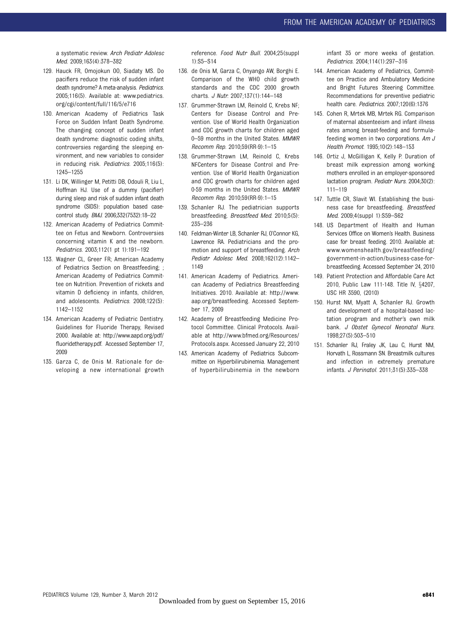a systematic review. Arch Pediatr Adolesc Med. 2009;163(4):378–382

- 129. Hauck FR, Omojokun OO, Siadaty MS. Do pacifiers reduce the risk of sudden infant death syndrome? A meta-analysis. Pediatrics. 2005;116(5). Available at: www.pediatrics. org/cgi/content/full/116/5/e716
- 130. American Academy of Pediatrics Task Force on Sudden Infant Death Syndrome. The changing concept of sudden infant death syndrome: diagnostic coding shifts, controversies regarding the sleeping environment, and new variables to consider in reducing risk. Pediatrics. 2005;116(5): 1245–1255
- 131. Li DK, Willinger M, Petitti DB, Odouli R, Liu L, Hoffman HJ. Use of a dummy (pacifier) during sleep and risk of sudden infant death syndrome (SIDS): population based casecontrol study. BMJ. 2006;332(7532):18–22
- 132. American Academy of Pediatrics Committee on Fetus and Newborn. Controversies concerning vitamin K and the newborn. Pediatrics. 2003;112(1 pt 1):191–192
- 133. Wagner CL, Greer FR; American Academy of Pediatrics Section on Breastfeeding; ; American Academy of Pediatrics Committee on Nutrition. Prevention of rickets and vitamin D deficiency in infants, children, and adolescents. Pediatrics. 2008;122(5): 1142–1152
- 134. American Academy of Pediatric Dentistry. Guidelines for Fluoride Therapy, Revised 2000. Available at: [http://www.aapd.org/pdf/](http://www.aapd.org/pdf/fluoridetherapy.pdf) fl[uoridetherapy.pdf.](http://www.aapd.org/pdf/fluoridetherapy.pdf) Accessed September 17, 2009
- 135. Garza C, de Onis M. Rationale for developing a new international growth

reference. Food Nutr Bull. 2004;25(suppl 1):S5–S14

- 136. de Onis M, Garza C, Onyango AW, Borghi E. Comparison of the WHO child growth standards and the CDC 2000 growth charts. J Nutr. 2007;137(1):144–148
- 137. Grummer-Strawn LM, Reinold C, Krebs NF; Centers for Disease Control and Prevention. Use of World Health Organization and CDC growth charts for children aged 0–59 months in the United States. MMWR Recomm Rep. 2010;59(RR-9):1–15
- 138. Grummer-Strawn LM, Reinold C, Krebs NFCenters for Disease Control and Prevention. Use of World Health Organization and CDC growth charts for children aged 0-59 months in the United States. MMWR Recomm Rep. 2010;59(RR-9):1–15
- 139. Schanler RJ. The pediatrician supports breastfeeding. Breastfeed Med. 2010;5(5): 235–236
- 140. Feldman-Winter LB, Schanler RJ, O'Connor KG, Lawrence RA. Pediatricians and the promotion and support of breastfeeding. Arch Pediatr Adolesc Med. 2008;162(12):1142– 1149
- 141. American Academy of Pediatrics. American Academy of Pediatrics Breastfeeding Initiatives. 2010. Available at: [http://www.](http://www.aap.org/breastfeeding) [aap.org/breastfeeding](http://www.aap.org/breastfeeding). Accessed September 17, 2009
- 142. Academy of Breastfeeding Medicine Protocol Committee. Clinical Protocols. Available at [http://www.bfmed.org/Resources/](http://www.bfmed.org/Resources/Protocols.aspx) [Protocols.aspx](http://www.bfmed.org/Resources/Protocols.aspx). Accessed January 22, 2010
- 143. American Academy of Pediatrics Subcommittee on Hyperbilirubinemia. Management of hyperbilirubinemia in the newborn

infant 35 or more weeks of gestation. Pediatrics. 2004;114(1):297–316

- 144. American Academy of Pediatrics, Committee on Practice and Ambulatory Medicine and Bright Futures Steering Committee. Recommendations for preventive pediatric health care. Pediatrics. 2007;120(6):1376
- 145. Cohen R, Mrtek MB, Mrtek RG. Comparison of maternal absenteeism and infant illness rates among breast-feeding and formulafeeding women in two corporations. Am J Health Promot. 1995;10(2):148–153
- 146. Ortiz J, McGilligan K, Kelly P. Duration of breast milk expression among working mothers enrolled in an employer-sponsored lactation program. Pediatr Nurs. 2004;30(2): 111–119
- 147. Tuttle CR, Slavit WI. Establishing the business case for breastfeeding. Breastfeed Med. 2009;4(suppl 1):S59–S62
- 148. US Department of Health and Human Services Office on Women's Health. Business case for breast feeding. 2010. Available at: [www.womenshealth.gov/breastfeeding/](www.womenshealth.gov/breastfeeding/government-in-action/business-case-for-breastfeeding.) [government-in-action/business-case-for](www.womenshealth.gov/breastfeeding/government-in-action/business-case-for-breastfeeding.)[breastfeeding.](www.womenshealth.gov/breastfeeding/government-in-action/business-case-for-breastfeeding.) Accessed September 24, 2010
- 149. Patient Protection and Affordable Care Act 2010, Public Law 111-148. Title IV, \$4207. USC HR 3590, (2010)
- 150. Hurst NM, Myatt A, Schanler RJ. Growth and development of a hospital-based lactation program and mother's own milk bank. J Obstet Gynecol Neonatal Nurs. 1998;27(5):503–510
- 151. Schanler RJ, Fraley JK, Lau C, Hurst NM, Horvath L, Rossmann SN. Breastmilk cultures and infection in extremely premature infants. J Perinatol. 2011;31(5):335–338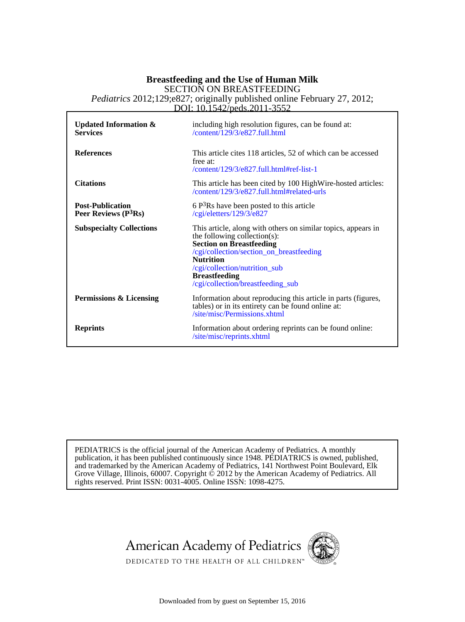# DOI: 10.1542/peds.2011-3552 *Pediatrics* 2012;129;e827; originally published online February 27, 2012; SECTION ON BREASTFEEDING **Breastfeeding and the Use of Human Milk**

| <b>Updated Information &amp;</b><br><b>Services</b> | including high resolution figures, can be found at:<br>/content/129/3/e827.full.html                                                                                                                                                                                                           |
|-----------------------------------------------------|------------------------------------------------------------------------------------------------------------------------------------------------------------------------------------------------------------------------------------------------------------------------------------------------|
| <b>References</b>                                   | This article cites 118 articles, 52 of which can be accessed<br>free at:<br>$\/$ content $/129/3$ /e $827$ .full.html#ref-list-1                                                                                                                                                               |
| <b>Citations</b>                                    | This article has been cited by 100 High Wire-hosted articles:<br>/content/129/3/e827.full.html#related-urls                                                                                                                                                                                    |
| <b>Post-Publication</b><br>Peer Reviews $(P3Rs)$    | $6P3Rs$ have been posted to this article<br>/cgi/eletters/129/3/e827                                                                                                                                                                                                                           |
| <b>Subspecialty Collections</b>                     | This article, along with others on similar topics, appears in<br>the following collection(s):<br><b>Section on Breastfeeding</b><br>/cgi/collection/section_on_breastfeeding<br><b>Nutrition</b><br>/cgi/collection/nutrition_sub<br><b>Breastfeeding</b><br>/cgi/collection/breastfeeding_sub |
| <b>Permissions &amp; Licensing</b>                  | Information about reproducing this article in parts (figures,<br>tables) or in its entirety can be found online at:<br>/site/misc/Permissions(xhtml)                                                                                                                                           |
| <b>Reprints</b>                                     | Information about ordering reprints can be found online:<br>/site/misc/reprints.xhtml                                                                                                                                                                                                          |

rights reserved. Print ISSN: 0031-4005. Online ISSN: 1098-4275. Grove Village, Illinois, 60007. Copyright © 2012 by the American Academy of Pediatrics. All and trademarked by the American Academy of Pediatrics, 141 Northwest Point Boulevard, Elk publication, it has been published continuously since 1948. PEDIATRICS is owned, published, PEDIATRICS is the official journal of the American Academy of Pediatrics. A monthly